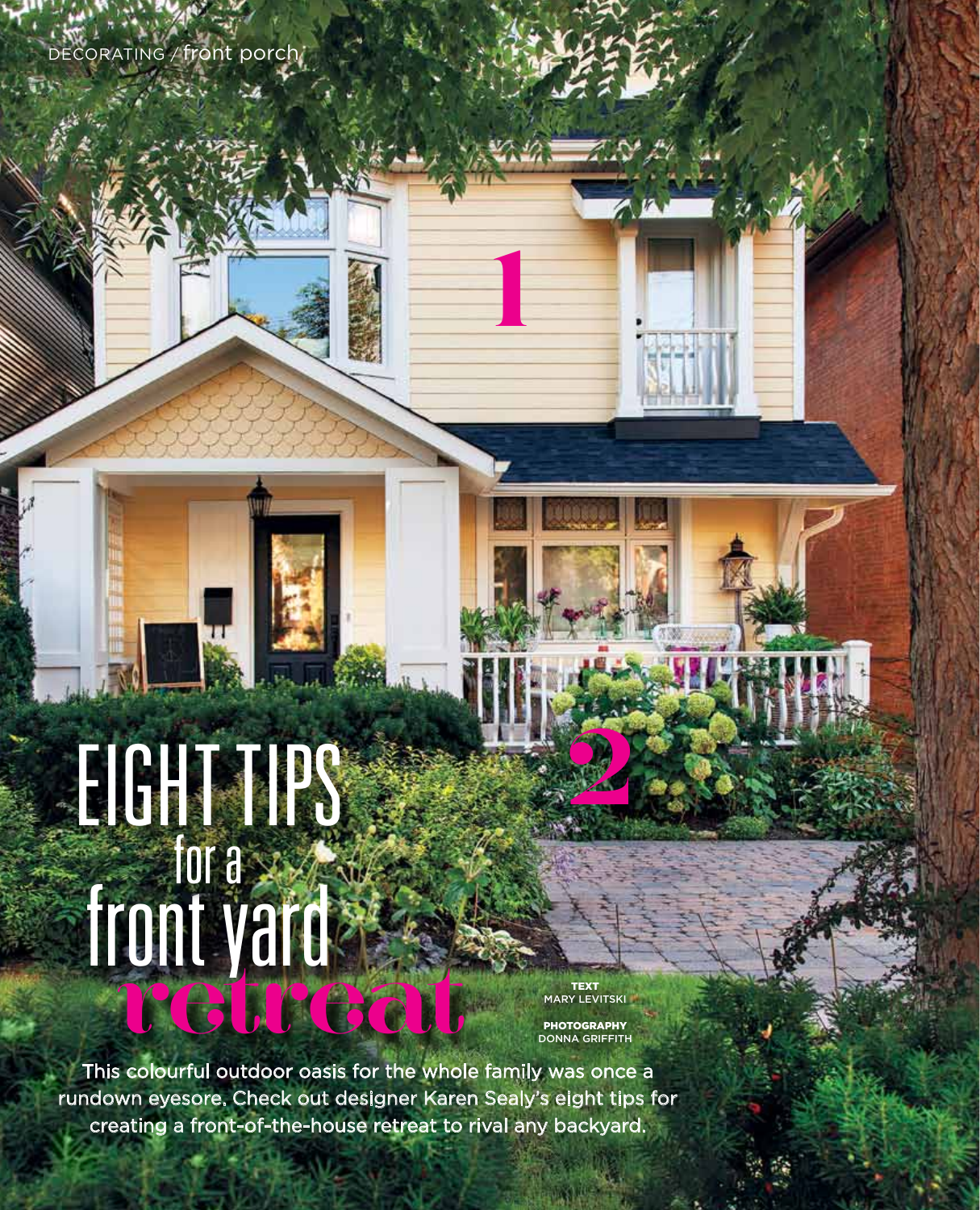DECORATING / front porch/

# front yard retreat eight tips for a

**54** | styleathome.com august 2014

**TEXT**<br>MARY LEVITSKI

**2**

1

**1**

**PHOTOGRAPHY** DONNA GRIFFITH

This colourful outdoor oasis for the whole family was once a rundown eyesore. Check out designer Karen Sealy's eight tips for creating a front-of-the-house retreat to rival any backyard.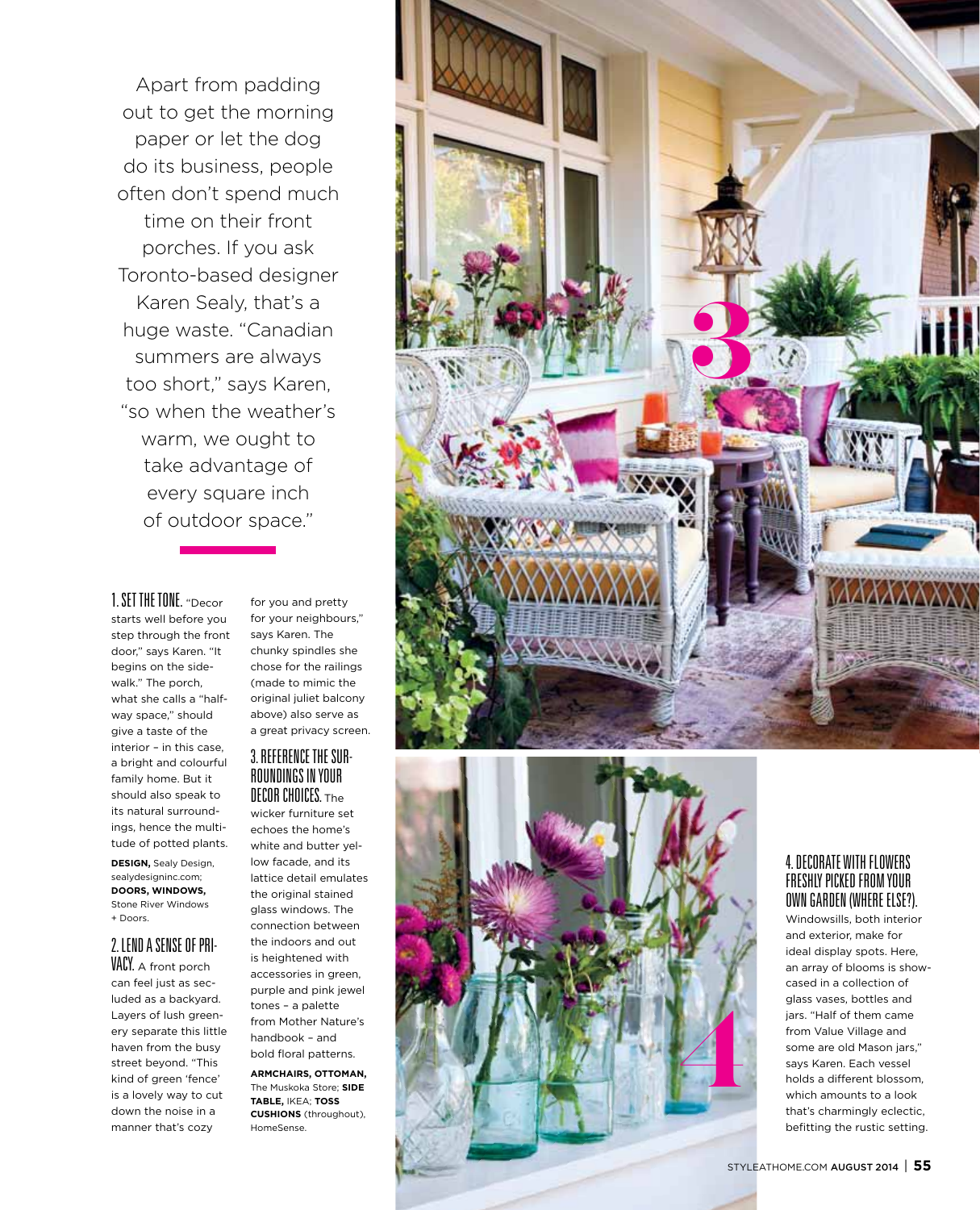Apart from padding out to get the morning paper or let the dog do its business, people often don't spend much time on their front porches. If you ask Toronto-based designer Karen Sealy, that's a huge waste. "Canadian summers are always too short," says Karen, "so when the weather's warm, we ought to take advantage of every square inch of outdoor space."

## 1. Set the tone. " Decor

starts well before you step through the front door," says Karen. " It begins on the side walk." The porch, what she calls a "half way space," should give a taste of the interior – in this case, a bright and colourful family home. But it should also speak to its natural surround ings, hence the multi tude of potted plants.

DESIGN, Sealy Design, sealydesigninc.com; **DOORS, WInDOWS ,** Stone River Windows + Doors.

### 2. Lend a sense of pri - VACY. A front porch

can feel just as secluded as a backyard. Layers of lush greenery separate this little haven from the busy street beyond. " This kind of green 'fence' is a lovely way to cut down the noise in a manner that's cozy

for you and pretty for your neighbours," says Karen. The chunky spindles she chose for the railings (made to mimic the original juliet balcony above) also serve as a great privacy screen.

### 3. Reference the sur roundings in your DECOR CHOICES. The

wicker furniture set echoes the home's white and butter yel low facade, and its lattice detail emulates the original stained glass windows. The connection between the indoors and out is heightened with accessories in green, purple and pink jewel tones – a palette from Mother Nature's handbook – and bold floral patterns.

**armChairs, ottoman,** The Muskoka Store; **side table,** I KEA; **T OSS CUSHI ONS** (throughout), Home Sense.





## 4. Decorate with f lowers fresh ly picked from your own garden (where e lse?).

Windowsills, both interior and exterior, make for ideal display spots. Here, an array of blooms is showcased in a collection of glass vases, bottles and jars. " Half of them came from Value Village and some are old Mason jars," says Karen. Each vessel holds a different blossom, which amounts to a look that's charmingly eclectic, befitting the rustic setting.